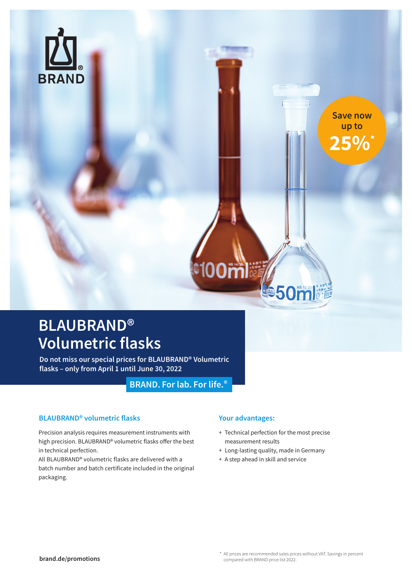

**Save now up to 25%\***

### **BLAUBRAND® Volumetric flasks**

**Do not miss our special prices for BLAUBRAND® Volumetric flasks – only from April 1 until June 30, 2022**

**BRAND. Forlab. For life.®**

### **BLAUBRAND® volumetric flasks**

Precision analysis requires measurement instruments with high precision. BLAUBRAND® volumetric flasks offer the best in technical perfection.

All BLAUBRAND® volumetric flasks are delivered with a batch number and batch certificate included in the original packaging.

### **Your advantages:**

**etoom** 

+ Technical perfection for the most precise measurement results

**Ve50mlije** 

- + Long-lasting quality, made in Germany
- + A step ahead in skill and service